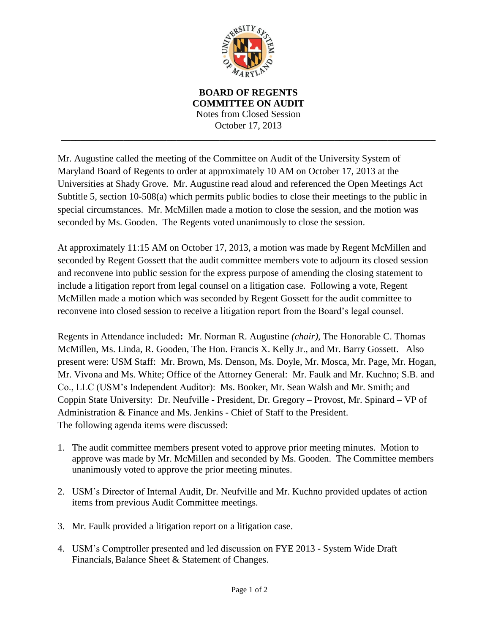

**BOARD OF REGENTS COMMITTEE ON AUDIT** Notes from Closed Session October 17, 2013 \_\_\_\_\_\_\_\_\_\_\_\_\_\_\_\_\_\_\_\_\_\_\_\_\_\_\_\_\_\_\_\_\_\_\_\_\_\_\_\_\_\_\_\_\_\_\_\_\_\_\_\_\_\_\_\_\_\_\_\_\_\_\_\_\_\_\_\_\_\_\_\_\_\_\_\_\_\_

Mr. Augustine called the meeting of the Committee on Audit of the University System of Maryland Board of Regents to order at approximately 10 AM on October 17, 2013 at the Universities at Shady Grove. Mr. Augustine read aloud and referenced the Open Meetings Act Subtitle 5, section 10-508(a) which permits public bodies to close their meetings to the public in special circumstances. Mr. McMillen made a motion to close the session, and the motion was seconded by Ms. Gooden. The Regents voted unanimously to close the session.

At approximately 11:15 AM on October 17, 2013, a motion was made by Regent McMillen and seconded by Regent Gossett that the audit committee members vote to adjourn its closed session and reconvene into public session for the express purpose of amending the closing statement to include a litigation report from legal counsel on a litigation case. Following a vote, Regent McMillen made a motion which was seconded by Regent Gossett for the audit committee to reconvene into closed session to receive a litigation report from the Board's legal counsel.

Regents in Attendance included**:** Mr. Norman R. Augustine *(chair),* The Honorable C. Thomas McMillen, Ms. Linda, R. Gooden, The Hon. Francis X. Kelly Jr., and Mr. Barry Gossett. Also present were: USM Staff: Mr. Brown, Ms. Denson, Ms. Doyle, Mr. Mosca, Mr. Page, Mr. Hogan, Mr. Vivona and Ms. White; Office of the Attorney General: Mr. Faulk and Mr. Kuchno; S.B. and Co., LLC (USM's Independent Auditor): Ms. Booker, Mr. Sean Walsh and Mr. Smith; and Coppin State University: Dr. Neufville - President, Dr. Gregory – Provost, Mr. Spinard – VP of Administration & Finance and Ms. Jenkins - Chief of Staff to the President. The following agenda items were discussed:

- 1. The audit committee members present voted to approve prior meeting minutes. Motion to approve was made by Mr. McMillen and seconded by Ms. Gooden. The Committee members unanimously voted to approve the prior meeting minutes.
- 2. USM's Director of Internal Audit, Dr. Neufville and Mr. Kuchno provided updates of action items from previous Audit Committee meetings.
- 3. Mr. Faulk provided a litigation report on a litigation case.
- 4. USM's Comptroller presented and led discussion on FYE 2013 System Wide Draft Financials, Balance Sheet  $&$  Statement of Changes.